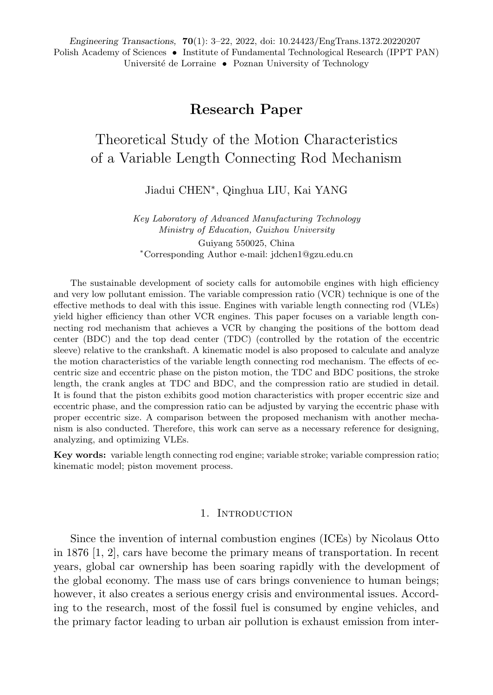# **Research Paper**

# Theoretical Study of the Motion Characteristics of a Variable Length Connecting Rod Mechanism

Jiadui CHEN<sup>∗</sup> , Qinghua LIU, Kai YANG

*Key Laboratory of Advanced Manufacturing Technology Ministry of Education, Guizhou University* Guiyang 550025, China

<sup>∗</sup>Corresponding Author e-mail: jdchen1@gzu.edu.cn

The sustainable development of society calls for automobile engines with high efficiency and very low pollutant emission. The variable compression ratio (VCR) technique is one of the effective methods to deal with this issue. Engines with variable length connecting rod (VLEs) yield higher efficiency than other VCR engines. This paper focuses on a variable length connecting rod mechanism that achieves a VCR by changing the positions of the bottom dead center (BDC) and the top dead center (TDC) (controlled by the rotation of the eccentric sleeve) relative to the crankshaft. A kinematic model is also proposed to calculate and analyze the motion characteristics of the variable length connecting rod mechanism. The effects of eccentric size and eccentric phase on the piston motion, the TDC and BDC positions, the stroke length, the crank angles at TDC and BDC, and the compression ratio are studied in detail. It is found that the piston exhibits good motion characteristics with proper eccentric size and eccentric phase, and the compression ratio can be adjusted by varying the eccentric phase with proper eccentric size. A comparison between the proposed mechanism with another mechanism is also conducted. Therefore, this work can serve as a necessary reference for designing, analyzing, and optimizing VLEs.

**Key words:** variable length connecting rod engine; variable stroke; variable compression ratio; kinematic model; piston movement process.

#### 1. Introduction

Since the invention of internal combustion engines (ICEs) by Nicolaus Otto in 1876 [1, 2], cars have become the primary means of transportation. In recent years, global car ownership has been soaring rapidly with the development of the global economy. The mass use of cars brings convenience to human beings; however, it also creates a serious energy crisis and environmental issues. According to the research, most of the fossil fuel is consumed by engine vehicles, and the primary factor leading to urban air pollution is exhaust emission from inter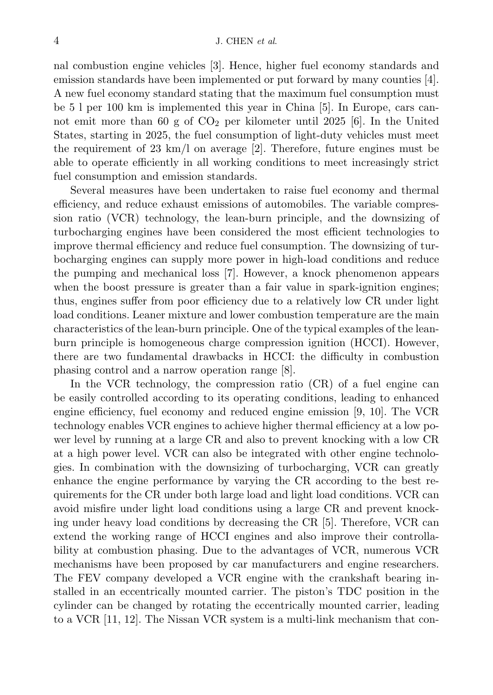nal combustion engine vehicles [3]. Hence, higher fuel economy standards and emission standards have been implemented or put forward by many counties [4]. A new fuel economy standard stating that the maximum fuel consumption must be 5 l per 100 km is implemented this year in China [5]. In Europe, cars cannot emit more than 60 g of  $CO<sub>2</sub>$  per kilometer until 2025 [6]. In the United States, starting in 2025, the fuel consumption of light-duty vehicles must meet the requirement of 23 km/l on average  $[2]$ . Therefore, future engines must be able to operate efficiently in all working conditions to meet increasingly strict fuel consumption and emission standards.

Several measures have been undertaken to raise fuel economy and thermal efficiency, and reduce exhaust emissions of automobiles. The variable compression ratio (VCR) technology, the lean-burn principle, and the downsizing of turbocharging engines have been considered the most efficient technologies to improve thermal efficiency and reduce fuel consumption. The downsizing of turbocharging engines can supply more power in high-load conditions and reduce the pumping and mechanical loss [7]. However, a knock phenomenon appears when the boost pressure is greater than a fair value in spark-ignition engines; thus, engines suffer from poor efficiency due to a relatively low CR under light load conditions. Leaner mixture and lower combustion temperature are the main characteristics of the lean-burn principle. One of the typical examples of the leanburn principle is homogeneous charge compression ignition (HCCI). However, there are two fundamental drawbacks in HCCI: the difficulty in combustion phasing control and a narrow operation range [8].

In the VCR technology, the compression ratio (CR) of a fuel engine can be easily controlled according to its operating conditions, leading to enhanced engine efficiency, fuel economy and reduced engine emission [9, 10]. The VCR technology enables VCR engines to achieve higher thermal efficiency at a low power level by running at a large CR and also to prevent knocking with a low CR at a high power level. VCR can also be integrated with other engine technologies. In combination with the downsizing of turbocharging, VCR can greatly enhance the engine performance by varying the CR according to the best requirements for the CR under both large load and light load conditions. VCR can avoid misfire under light load conditions using a large CR and prevent knocking under heavy load conditions by decreasing the CR [5]. Therefore, VCR can extend the working range of HCCI engines and also improve their controllability at combustion phasing. Due to the advantages of VCR, numerous VCR mechanisms have been proposed by car manufacturers and engine researchers. The FEV company developed a VCR engine with the crankshaft bearing installed in an eccentrically mounted carrier. The piston's TDC position in the cylinder can be changed by rotating the eccentrically mounted carrier, leading to a VCR [11, 12]. The Nissan VCR system is a multi-link mechanism that con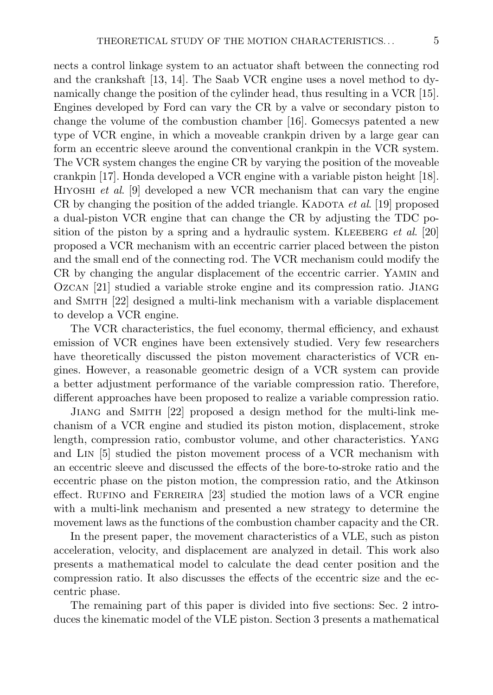nects a control linkage system to an actuator shaft between the connecting rod and the crankshaft [13, 14]. The Saab VCR engine uses a novel method to dynamically change the position of the cylinder head, thus resulting in a VCR [15]. Engines developed by Ford can vary the CR by a valve or secondary piston to change the volume of the combustion chamber [16]. Gomecsys patented a new type of VCR engine, in which a moveable crankpin driven by a large gear can form an eccentric sleeve around the conventional crankpin in the VCR system. The VCR system changes the engine CR by varying the position of the moveable crankpin [17]. Honda developed a VCR engine with a variable piston height [18]. Hiyoshi *et al*. [9] developed a new VCR mechanism that can vary the engine CR by changing the position of the added triangle. KADOTA *et al.* [19] proposed a dual-piston VCR engine that can change the CR by adjusting the TDC position of the piston by a spring and a hydraulic system. KLEEBERG *et al.* [20] proposed a VCR mechanism with an eccentric carrier placed between the piston and the small end of the connecting rod. The VCR mechanism could modify the CR by changing the angular displacement of the eccentric carrier. Yamin and Ozcan [21] studied a variable stroke engine and its compression ratio. Jiang and Smith [22] designed a multi-link mechanism with a variable displacement to develop a VCR engine.

The VCR characteristics, the fuel economy, thermal efficiency, and exhaust emission of VCR engines have been extensively studied. Very few researchers have theoretically discussed the piston movement characteristics of VCR engines. However, a reasonable geometric design of a VCR system can provide a better adjustment performance of the variable compression ratio. Therefore, different approaches have been proposed to realize a variable compression ratio.

Jiang and Smith [22] proposed a design method for the multi-link mechanism of a VCR engine and studied its piston motion, displacement, stroke length, compression ratio, combustor volume, and other characteristics. Yang and Lin [5] studied the piston movement process of a VCR mechanism with an eccentric sleeve and discussed the effects of the bore-to-stroke ratio and the eccentric phase on the piston motion, the compression ratio, and the Atkinson effect. RUFINO and FERREIRA  $[23]$  studied the motion laws of a VCR engine with a multi-link mechanism and presented a new strategy to determine the movement laws as the functions of the combustion chamber capacity and the CR.

In the present paper, the movement characteristics of a VLE, such as piston acceleration, velocity, and displacement are analyzed in detail. This work also presents a mathematical model to calculate the dead center position and the compression ratio. It also discusses the effects of the eccentric size and the eccentric phase.

The remaining part of this paper is divided into five sections: Sec. 2 introduces the kinematic model of the VLE piston. Section 3 presents a mathematical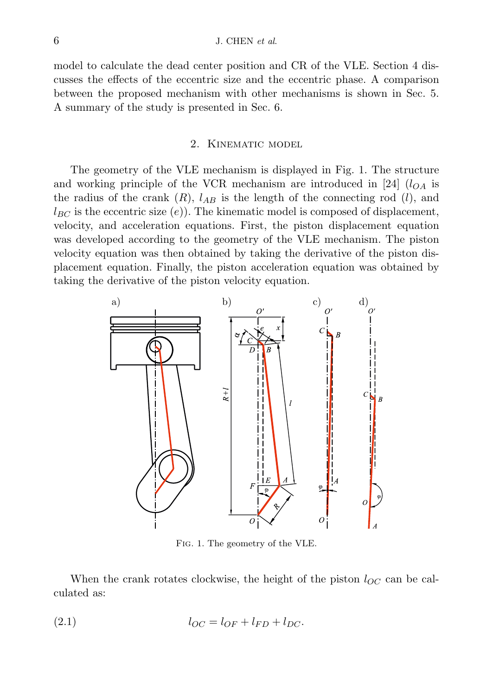model to calculate the dead center position and CR of the VLE. Section 4 discusses the effects of the eccentric size and the eccentric phase. A comparison between the proposed mechanism with other mechanisms is shown in Sec. 5. A summary of the study is presented in Sec. 6.

#### 2. Kinematic model

The geometry of the VLE mechanism is displayed in Fig. 1. The structure and working principle of the VCR mechanism are introduced in [24]  $(l_{OA}$  is the radius of the crank  $(R)$ ,  $l_{AB}$  is the length of the connecting rod  $(l)$ , and  $l_{BC}$  is the eccentric size (e)). The kinematic model is composed of displacement, velocity, and acceleration equations. First, the piston displacement equation was developed according to the geometry of the VLE mechanism. The piston velocity equation was then obtained by taking the derivative of the piston displacement equation. Finally, the piston acceleration equation was obtained by taking the derivative of the piston velocity equation.



Fig. 1. The geometry of the VLE.

When the crank rotates clockwise, the height of the piston  $l_{OC}$  can be calculated as:

$$
l_{OC} = l_{OF} + l_{FD} + l_{DC}.
$$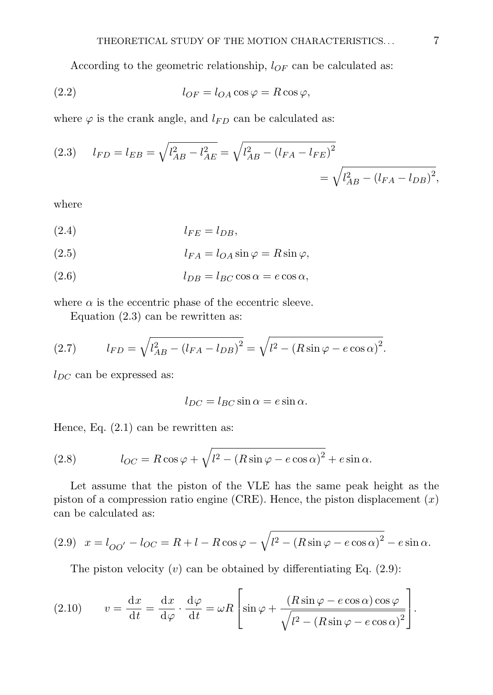According to the geometric relationship,  $l_{OF}$  can be calculated as:

(2.2) 
$$
l_{OF} = l_{OA} \cos \varphi = R \cos \varphi,
$$

where  $\varphi$  is the crank angle, and  $l_{FD}$  can be calculated as:

(2.3) 
$$
l_{FD} = l_{EB} = \sqrt{l_{AB}^2 - l_{AE}^2} = \sqrt{l_{AB}^2 - (l_{FA} - l_{FE})^2}
$$
  
=  $\sqrt{l_{AB}^2 - (l_{FA} - l_{DB})^2}$ ,

where

$$
l_{FE} = l_{DB},
$$

(2.5) 
$$
l_{FA} = l_{OA} \sin \varphi = R \sin \varphi,
$$

$$
(2.6) \t\t\t l_{DB} = l_{BC} \cos \alpha = e \cos \alpha,
$$

where  $\alpha$  is the eccentric phase of the eccentric sleeve.

Equation (2.3) can be rewritten as:

(2.7) 
$$
l_{FD} = \sqrt{l_{AB}^2 - (l_{FA} - l_{DB})^2} = \sqrt{l^2 - (R\sin\varphi - e\cos\alpha)^2}.
$$

 $l_{DC}$  can be expressed as:

$$
l_{DC} = l_{BC} \sin \alpha = e \sin \alpha.
$$

Hence, Eq.  $(2.1)$  can be rewritten as:

(2.8) 
$$
l_{OC} = R \cos \varphi + \sqrt{l^2 - (R \sin \varphi - e \cos \alpha)^2} + e \sin \alpha.
$$

Let assume that the piston of the VLE has the same peak height as the piston of a compression ratio engine (CRE). Hence, the piston displacement  $(x)$ can be calculated as:

(2.9) 
$$
x = l_{OO'} - l_{OC} = R + l - R \cos \varphi - \sqrt{l^2 - (R \sin \varphi - e \cos \alpha)^2} - e \sin \alpha.
$$

The piston velocity  $(v)$  can be obtained by differentiating Eq.  $(2.9)$ :

(2.10) 
$$
v = \frac{dx}{dt} = \frac{dx}{d\varphi} \cdot \frac{d\varphi}{dt} = \omega R \left[ \sin \varphi + \frac{(R \sin \varphi - e \cos \alpha) \cos \varphi}{\sqrt{l^2 - (R \sin \varphi - e \cos \alpha)^2}} \right].
$$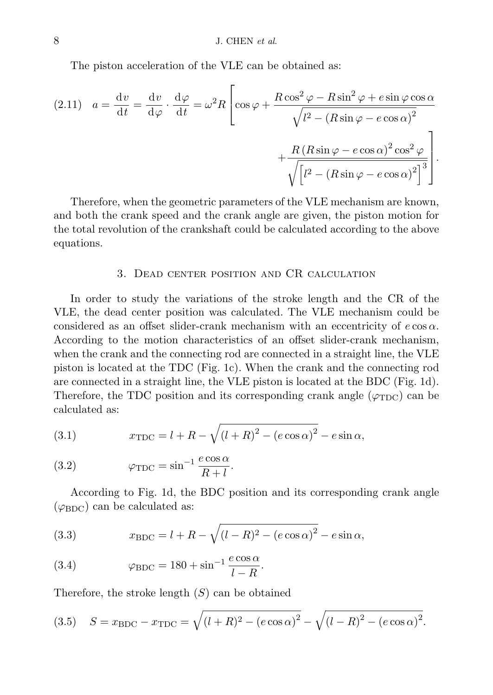The piston acceleration of the VLE can be obtained as:

$$
(2.11) \quad a = \frac{\mathrm{d}v}{\mathrm{d}t} = \frac{\mathrm{d}v}{\mathrm{d}\varphi} \cdot \frac{\mathrm{d}\varphi}{\mathrm{d}t} = \omega^2 R \left[ \cos\varphi + \frac{R\cos^2\varphi - R\sin^2\varphi + e\sin\varphi\cos\alpha}{\sqrt{l^2 - (R\sin\varphi - e\cos\alpha)^2}} + \frac{R\left(R\sin\varphi - e\cos\alpha\right)^2 \cos^2\varphi}{\sqrt{\left[l^2 - (R\sin\varphi - e\cos\alpha)^2\right]^3}} \right].
$$

Therefore, when the geometric parameters of the VLE mechanism are known, and both the crank speed and the crank angle are given, the piston motion for the total revolution of the crankshaft could be calculated according to the above equations.

#### 3. Dead center position and CR calculation

In order to study the variations of the stroke length and the CR of the VLE, the dead center position was calculated. The VLE mechanism could be considered as an offset slider-crank mechanism with an eccentricity of  $e \cos \alpha$ . According to the motion characteristics of an offset slider-crank mechanism, when the crank and the connecting rod are connected in a straight line, the VLE piston is located at the TDC (Fig. 1c). When the crank and the connecting rod are connected in a straight line, the VLE piston is located at the BDC (Fig. 1d). Therefore, the TDC position and its corresponding crank angle  $(\varphi_{TDC})$  can be calculated as:

(3.1) 
$$
x_{\text{TDC}} = l + R - \sqrt{(l+R)^2 - (e \cos \alpha)^2} - e \sin \alpha,
$$

(3.2) 
$$
\varphi_{\text{TDC}} = \sin^{-1} \frac{e \cos \alpha}{R + l}.
$$

According to Fig. 1d, the BDC position and its corresponding crank angle  $(\varphi_{\rm BDC})$  can be calculated as:

(3.3) 
$$
x_{\text{BDC}} = l + R - \sqrt{(l - R)^2 - (e \cos \alpha)^2} - e \sin \alpha,
$$

(3.4) 
$$
\varphi_{\text{BDC}} = 180 + \sin^{-1} \frac{e \cos \alpha}{l - R}.
$$

Therefore, the stroke length  $(S)$  can be obtained

(3.5) 
$$
S = x_{\text{BDC}} - x_{\text{TDC}} = \sqrt{(l+R)^2 - (e \cos \alpha)^2} - \sqrt{(l-R)^2 - (e \cos \alpha)^2}.
$$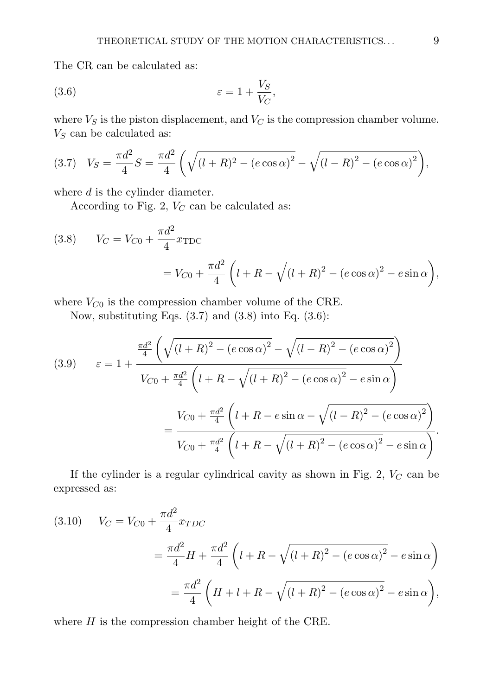The CR can be calculated as:

$$
\varepsilon = 1 + \frac{V_S}{V_C},
$$

where  $V_S$  is the piston displacement, and  $V_C$  is the compression chamber volume.  $V_S$  can be calculated as:

(3.7) 
$$
V_S = \frac{\pi d^2}{4} S = \frac{\pi d^2}{4} \left( \sqrt{(l+R)^2 - (e \cos \alpha)^2} - \sqrt{(l-R)^2 - (e \cos \alpha)^2} \right),
$$

where  $d$  is the cylinder diameter.

According to Fig. 2,  $V_C$  can be calculated as:

(3.8) 
$$
V_C = V_{C0} + \frac{\pi d^2}{4} x_{\text{TDC}} \\
= V_{C0} + \frac{\pi d^2}{4} \left( l + R - \sqrt{(l+R)^2 - (e \cos \alpha)^2} - e \sin \alpha \right),
$$

where  $V_{C0}$  is the compression chamber volume of the CRE.

Now, substituting Eqs.  $(3.7)$  and  $(3.8)$  into Eq.  $(3.6)$ :

(3.9) 
$$
\varepsilon = 1 + \frac{\frac{\pi d^2}{4} \left( \sqrt{(l+R)^2 - (e \cos \alpha)^2} - \sqrt{(l-R)^2 - (e \cos \alpha)^2} \right)}{V_{C0} + \frac{\pi d^2}{4} \left( l+R - \sqrt{(l+R)^2 - (e \cos \alpha)^2} - e \sin \alpha \right)}
$$

$$
= \frac{V_{C0} + \frac{\pi d^2}{4} \left( l+R - e \sin \alpha - \sqrt{(l-R)^2 - (e \cos \alpha)^2} \right)}{V_{C0} + \frac{\pi d^2}{4} \left( l+R - \sqrt{(l+R)^2 - (e \cos \alpha)^2} - e \sin \alpha \right)}.
$$

If the cylinder is a regular cylindrical cavity as shown in Fig. 2,  $V_C$  can be expressed as:

(3.10) 
$$
V_C = V_{C0} + \frac{\pi d^2}{4} x_{TDC}
$$

$$
= \frac{\pi d^2}{4} H + \frac{\pi d^2}{4} \left( l + R - \sqrt{(l+R)^2 - (e \cos \alpha)^2} - e \sin \alpha \right)
$$

$$
= \frac{\pi d^2}{4} \left( H + l + R - \sqrt{(l+R)^2 - (e \cos \alpha)^2} - e \sin \alpha \right),
$$

where  $H$  is the compression chamber height of the CRE.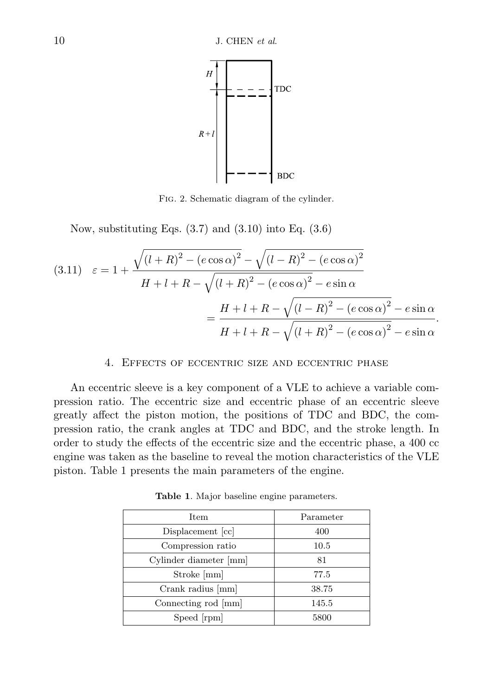

Fig. 2. Schematic diagram of the cylinder.

Now, substituting Eqs.  $(3.7)$  and  $(3.10)$  into Eq.  $(3.6)$ 

$$
(3.11) \quad \varepsilon = 1 + \frac{\sqrt{(l+R)^2 - (e\cos\alpha)^2} - \sqrt{(l-R)^2 - (e\cos\alpha)^2}}{H + l + R - \sqrt{(l+R)^2 - (e\cos\alpha)^2} - e\sin\alpha}
$$

$$
= \frac{H + l + R - \sqrt{(l-R)^2 - (e\cos\alpha)^2} - e\sin\alpha}{H + l + R - \sqrt{(l+R)^2 - (e\cos\alpha)^2} - e\sin\alpha}.
$$

# 4. Effects of eccentric size and eccentric phase

An eccentric sleeve is a key component of a VLE to achieve a variable compression ratio. The eccentric size and eccentric phase of an eccentric sleeve greatly affect the piston motion, the positions of TDC and BDC, the compression ratio, the crank angles at TDC and BDC, and the stroke length. In order to study the effects of the eccentric size and the eccentric phase, a 400 cc engine was taken as the baseline to reveal the motion characteristics of the VLE piston. Table 1 presents the main parameters of the engine.

| Item                   | Parameter |
|------------------------|-----------|
| Displacement [cc]      | 400       |
| Compression ratio      | 10.5      |
| Cylinder diameter [mm] | 81        |
| Stroke [mm]            | 77.5      |
| Crank radius [mm]      | 38.75     |
| Connecting rod [mm]    | 145.5     |
| Speed [rpm]            | 5800      |

**Table 1**. Major baseline engine parameters.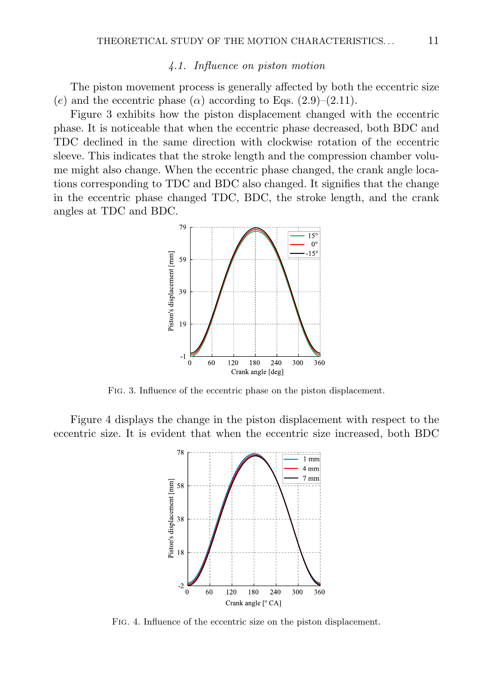# *4.1. Influence on piston motion*

The piston movement process is generally affected by both the eccentric size (e) and the eccentric phase ( $\alpha$ ) according to Eqs. (2.9)–(2.11).

Figure 3 exhibits how the piston displacement changed with the eccentric phase. It is noticeable that when the eccentric phase decreased, both BDC and TDC declined in the same direction with clockwise rotation of the eccentric sleeve. This indicates that the stroke length and the compression chamber volume might also change. When the eccentric phase changed, the crank angle locations corresponding to TDC and BDC also changed. It signifies that the change in the eccentric phase changed TDC, BDC, the stroke length, and the crank angles at TDC and BDC.



Fig. 3. Influence of the eccentric phase on the piston displacement.

Figure 4 displays the change in the piston displacement with respect to the eccentric size. It is evident that when the eccentric size increased, both BDC



Fig. 4. Influence of the eccentric size on the piston displacement.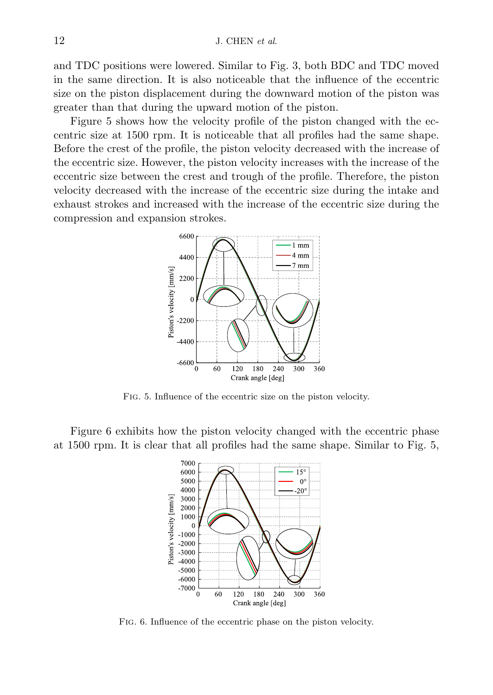and TDC positions were lowered. Similar to Fig. 3, both BDC and TDC moved in the same direction. It is also noticeable that the influence of the eccentric size on the piston displacement during the downward motion of the piston was greater than that during the upward motion of the piston.

Figure 5 shows how the velocity profile of the piston changed with the eccentric size at 1500 rpm. It is noticeable that all profiles had the same shape. Before the crest of the profile, the piston velocity decreased with the increase of the eccentric size. However, the piston velocity increases with the increase of the eccentric size between the crest and trough of the profile. Therefore, the piston velocity decreased with the increase of the eccentric size during the intake and exhaust strokes and increased with the increase of the eccentric size during the compression and expansion strokes.



Fig. 5. Influence of the eccentric size on the piston velocity.

Figure 6 exhibits how the piston velocity changed with the eccentric phase at 1500 rpm. It is clear that all profiles had the same shape. Similar to Fig. 5,



Fig. 6. Influence of the eccentric phase on the piston velocity.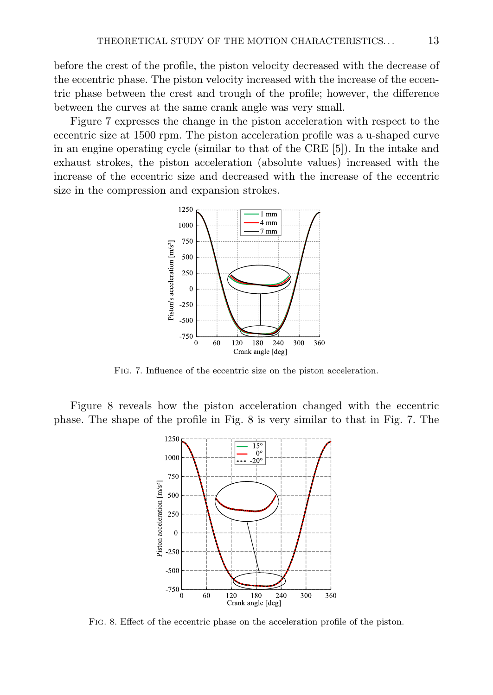before the crest of the profile, the piston velocity decreased with the decrease of the eccentric phase. The piston velocity increased with the increase of the eccentric phase between the crest and trough of the profile; however, the difference between the curves at the same crank angle was very small.

Figure 7 expresses the change in the piston acceleration with respect to the eccentric size at 1500 rpm. The piston acceleration profile was a u-shaped curve in an engine operating cycle (similar to that of the CRE [5]). In the intake and exhaust strokes, the piston acceleration (absolute values) increased with the increase of the eccentric size and decreased with the increase of the eccentric size in the compression and expansion strokes.



Fig. 7. Influence of the eccentric size on the piston acceleration.

Figure 8 reveals how the piston acceleration changed with the eccentric phase. The shape of the profile in Fig. 8 is very similar to that in Fig. 7. The



Fig. 8. Effect of the eccentric phase on the acceleration profile of the piston.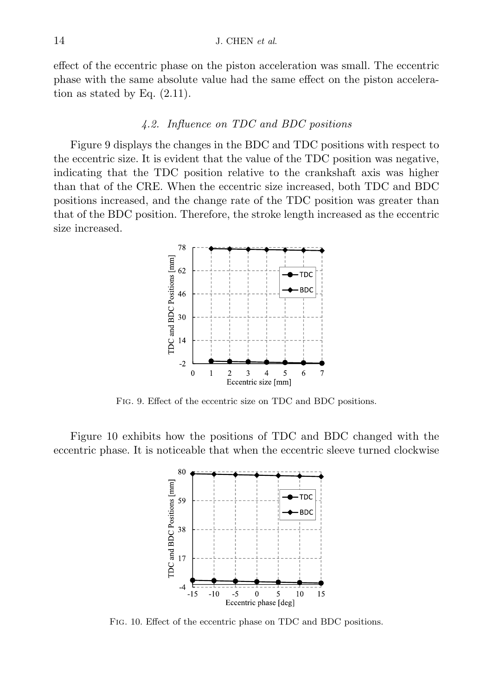effect of the eccentric phase on the piston acceleration was small. The eccentric phase with the same absolute value had the same effect on the piston acceleration as stated by Eq. (2.11).

## *4.2. Influence on TDC and BDC positions*

Figure 9 displays the changes in the BDC and TDC positions with respect to the eccentric size. It is evident that the value of the TDC position was negative, indicating that the TDC position relative to the crankshaft axis was higher than that of the CRE. When the eccentric size increased, both TDC and BDC positions increased, and the change rate of the TDC position was greater than that of the BDC position. Therefore, the stroke length increased as the eccentric size increased.



Fig. 9. Effect of the eccentric size on TDC and BDC positions.

Figure 10 exhibits how the positions of TDC and BDC changed with the eccentric phase. It is noticeable that when the eccentric sleeve turned clockwise



Fig. 10. Effect of the eccentric phase on TDC and BDC positions.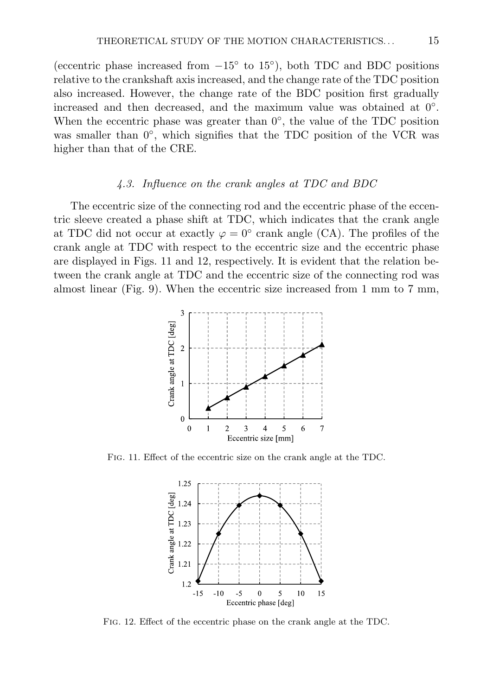(eccentric phase increased from  $-15^{\circ}$  to  $15^{\circ}$ ), both TDC and BDC positions relative to the crankshaft axis increased, and the change rate of the TDC position also increased. However, the change rate of the BDC position first gradually increased and then decreased, and the maximum value was obtained at 0◦ . When the eccentric phase was greater than  $0^\circ$ , the value of the TDC position was smaller than  $0^\circ$ , which signifies that the TDC position of the VCR was higher than that of the CRE.

#### *4.3. Influence on the crank angles at TDC and BDC*

The eccentric size of the connecting rod and the eccentric phase of the eccentric sleeve created a phase shift at TDC, which indicates that the crank angle at TDC did not occur at exactly  $\varphi = 0^{\circ}$  crank angle (CA). The profiles of the crank angle at TDC with respect to the eccentric size and the eccentric phase are displayed in Figs. 11 and 12, respectively. It is evident that the relation between the crank angle at TDC and the eccentric size of the connecting rod was almost linear (Fig. 9). When the eccentric size increased from 1 mm to 7 mm,



Fig. 11. Effect of the eccentric size on the crank angle at the TDC.



Fig. 12. Effect of the eccentric phase on the crank angle at the TDC.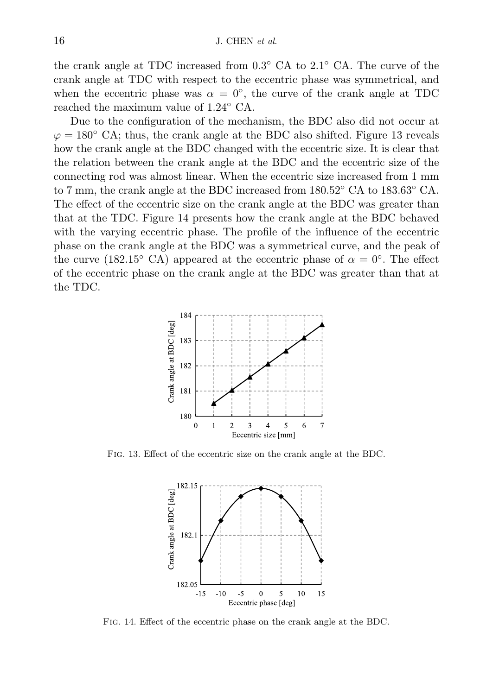the crank angle at TDC increased from 0.3◦ CA to 2.1◦ CA. The curve of the crank angle at TDC with respect to the eccentric phase was symmetrical, and when the eccentric phase was  $\alpha = 0^{\circ}$ , the curve of the crank angle at TDC reached the maximum value of 1.24◦ CA.

Due to the configuration of the mechanism, the BDC also did not occur at  $\varphi = 180^\circ$  CA; thus, the crank angle at the BDC also shifted. Figure 13 reveals how the crank angle at the BDC changed with the eccentric size. It is clear that the relation between the crank angle at the BDC and the eccentric size of the connecting rod was almost linear. When the eccentric size increased from 1 mm to 7 mm, the crank angle at the BDC increased from 180.52◦ CA to 183.63◦ CA. The effect of the eccentric size on the crank angle at the BDC was greater than that at the TDC. Figure 14 presents how the crank angle at the BDC behaved with the varying eccentric phase. The profile of the influence of the eccentric phase on the crank angle at the BDC was a symmetrical curve, and the peak of the curve (182.15<sup>°</sup> CA) appeared at the eccentric phase of  $\alpha = 0$ <sup>°</sup>. The effect of the eccentric phase on the crank angle at the BDC was greater than that at the TDC.



Fig. 13. Effect of the eccentric size on the crank angle at the BDC.



Fig. 14. Effect of the eccentric phase on the crank angle at the BDC.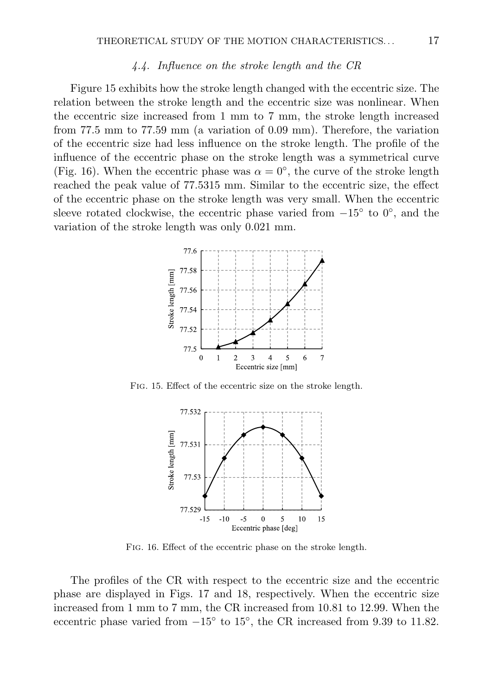## *4.4. Influence on the stroke length and the CR*

Figure 15 exhibits how the stroke length changed with the eccentric size. The relation between the stroke length and the eccentric size was nonlinear. When the eccentric size increased from 1 mm to 7 mm, the stroke length increased from 77.5 mm to 77.59 mm (a variation of 0.09 mm). Therefore, the variation of the eccentric size had less influence on the stroke length. The profile of the influence of the eccentric phase on the stroke length was a symmetrical curve (Fig. 16). When the eccentric phase was  $\alpha = 0^{\circ}$ , the curve of the stroke length reached the peak value of 77.5315 mm. Similar to the eccentric size, the effect of the eccentric phase on the stroke length was very small. When the eccentric sleeve rotated clockwise, the eccentric phase varied from  $-15^{\circ}$  to  $0^{\circ}$ , and the variation of the stroke length was only 0.021 mm.



Fig. 15. Effect of the eccentric size on the stroke length.



Fig. 16. Effect of the eccentric phase on the stroke length.

The profiles of the CR with respect to the eccentric size and the eccentric phase are displayed in Figs. 17 and 18, respectively. When the eccentric size increased from 1 mm to 7 mm, the CR increased from 10.81 to 12.99. When the eccentric phase varied from  $-15^{\circ}$  to  $15^{\circ}$ , the CR increased from 9.39 to 11.82.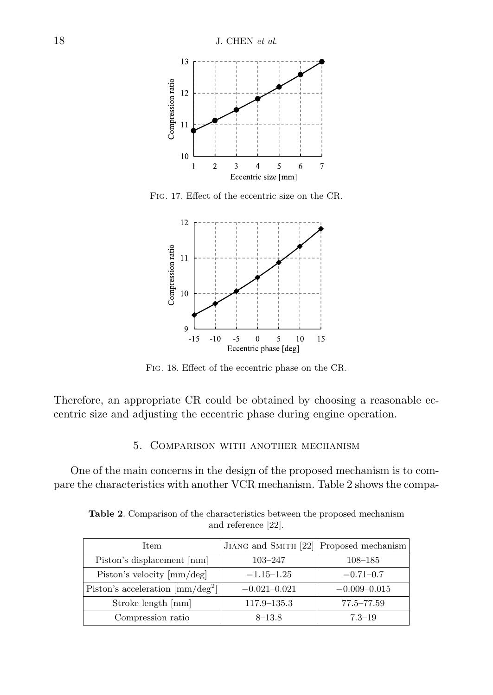

Fig. 17. Effect of the eccentric size on the CR.



Fig. 18. Effect of the eccentric phase on the CR.

Therefore, an appropriate CR could be obtained by choosing a reasonable eccentric size and adjusting the eccentric phase during engine operation.

# 5. Comparison with another mechanism

One of the main concerns in the design of the proposed mechanism is to compare the characteristics with another VCR mechanism. Table 2 shows the compa-

**Table 2**. Comparison of the characteristics between the proposed mechanism and reference [22].

| <b>Item</b>                                                 | JIANG and SMITH $[22]$ Proposed mechanism |                  |
|-------------------------------------------------------------|-------------------------------------------|------------------|
| Piston's displacement [mm]                                  | $103 - 247$                               | $108 - 185$      |
| Piston's velocity [mm/deg]                                  | $-1.15 - 1.25$                            | $-0.71 - 0.7$    |
| Piston's acceleration $\left[\text{mm}/\text{deg}^2\right]$ | $-0.021 - 0.021$                          | $-0.009 - 0.015$ |
| Stroke length [mm]                                          | $117.9 - 135.3$                           | $77.5 - 77.59$   |
| Compression ratio                                           | $8 - 13.8$                                | $7.3 - 19$       |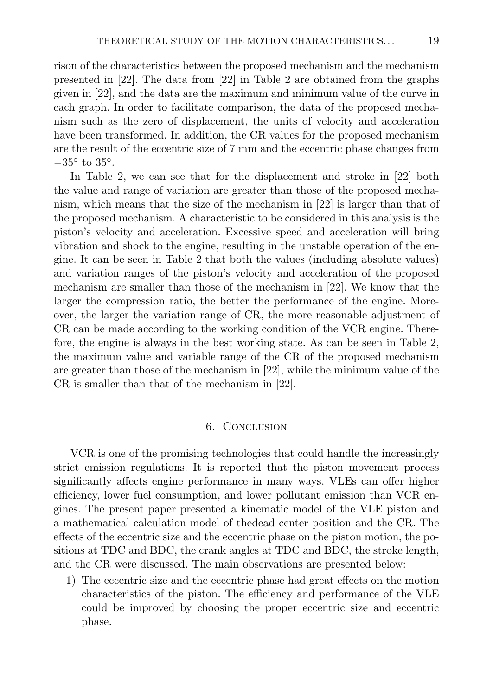rison of the characteristics between the proposed mechanism and the mechanism presented in [22]. The data from [22] in Table 2 are obtained from the graphs given in [22], and the data are the maximum and minimum value of the curve in each graph. In order to facilitate comparison, the data of the proposed mechanism such as the zero of displacement, the units of velocity and acceleration have been transformed. In addition, the CR values for the proposed mechanism are the result of the eccentric size of 7 mm and the eccentric phase changes from  $-35^{\circ}$  to  $35^{\circ}.$ 

In Table 2, we can see that for the displacement and stroke in [22] both the value and range of variation are greater than those of the proposed mechanism, which means that the size of the mechanism in [22] is larger than that of the proposed mechanism. A characteristic to be considered in this analysis is the piston's velocity and acceleration. Excessive speed and acceleration will bring vibration and shock to the engine, resulting in the unstable operation of the engine. It can be seen in Table 2 that both the values (including absolute values) and variation ranges of the piston's velocity and acceleration of the proposed mechanism are smaller than those of the mechanism in [22]. We know that the larger the compression ratio, the better the performance of the engine. Moreover, the larger the variation range of CR, the more reasonable adjustment of CR can be made according to the working condition of the VCR engine. Therefore, the engine is always in the best working state. As can be seen in Table 2, the maximum value and variable range of the CR of the proposed mechanism are greater than those of the mechanism in [22], while the minimum value of the CR is smaller than that of the mechanism in [22].

## 6. Conclusion

VCR is one of the promising technologies that could handle the increasingly strict emission regulations. It is reported that the piston movement process significantly affects engine performance in many ways. VLEs can offer higher efficiency, lower fuel consumption, and lower pollutant emission than VCR engines. The present paper presented a kinematic model of the VLE piston and a mathematical calculation model of thedead center position and the CR. The effects of the eccentric size and the eccentric phase on the piston motion, the positions at TDC and BDC, the crank angles at TDC and BDC, the stroke length, and the CR were discussed. The main observations are presented below:

1) The eccentric size and the eccentric phase had great effects on the motion characteristics of the piston. The efficiency and performance of the VLE could be improved by choosing the proper eccentric size and eccentric phase.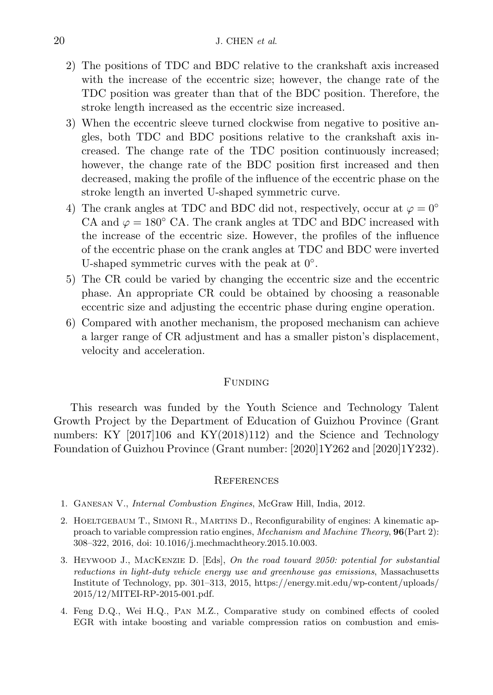- 2) The positions of TDC and BDC relative to the crankshaft axis increased with the increase of the eccentric size; however, the change rate of the TDC position was greater than that of the BDC position. Therefore, the stroke length increased as the eccentric size increased.
- 3) When the eccentric sleeve turned clockwise from negative to positive angles, both TDC and BDC positions relative to the crankshaft axis increased. The change rate of the TDC position continuously increased; however, the change rate of the BDC position first increased and then decreased, making the profile of the influence of the eccentric phase on the stroke length an inverted U-shaped symmetric curve.
- 4) The crank angles at TDC and BDC did not, respectively, occur at  $\varphi = 0^{\circ}$ CA and  $\varphi = 180^\circ$  CA. The crank angles at TDC and BDC increased with the increase of the eccentric size. However, the profiles of the influence of the eccentric phase on the crank angles at TDC and BDC were inverted U-shaped symmetric curves with the peak at  $0°$ .
- 5) The CR could be varied by changing the eccentric size and the eccentric phase. An appropriate CR could be obtained by choosing a reasonable eccentric size and adjusting the eccentric phase during engine operation.
- 6) Compared with another mechanism, the proposed mechanism can achieve a larger range of CR adjustment and has a smaller piston's displacement, velocity and acceleration.

## FUNDING

This research was funded by the Youth Science and Technology Talent Growth Project by the Department of Education of Guizhou Province (Grant numbers: KY [2017]106 and KY(2018)112) and the Science and Technology Foundation of Guizhou Province (Grant number: [2020]1Y262 and [2020]1Y232).

#### **REFERENCES**

- 1. Ganesan V., *Internal Combustion Engines*, McGraw Hill, India, 2012.
- 2. HOELTGEBAUM T., SIMONI R., MARTINS D., Reconfigurability of engines: A kinematic approach to variable compression ratio engines, *Mechanism and Machine Theory*, **96**(Part 2): 308–322, 2016, doi: [10.1016/j.mechmachtheory.2015.10.003.](https://doi.org/10.1016/j.mechmachtheory.2015.10.003)
- 3. Heywood J., MacKenzie D. [Eds], *On the road toward 2050: potential for substantial reductions in light-duty vehicle energy use and greenhouse gas emissions*, Massachusetts Institute of Technology, pp. 301–313, 2015, https://energy.mit.edu/wp-content/uploads/ 2015/12/MITEI-RP-2015-001.pdf.
- 4. Feng D.Q., Wei H.Q., Pan M.Z., Comparative study on combined effects of cooled EGR with intake boosting and variable compression ratios on combustion and emis-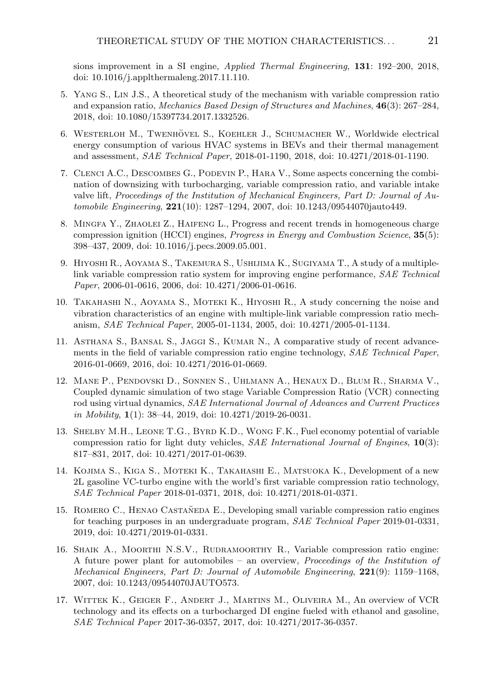sions improvement in a SI engine, *Applied Thermal Engineering*, **131**: 192–200, 2018, doi: [10.1016/j.applthermaleng.2017.11.110.](https://doi.org/10.1016/j.applthermaleng.2017.11.110)

- 5. Yang S., Lin J.S., A theoretical study of the mechanism with variable compression ratio and expansion ratio, *Mechanics Based Design of Structures and Machines*, **46**(3): 267–284, 2018, doi: [10.1080/15397734.2017.1332526.](https://doi.org/10.1080/15397734.2017.1332526)
- 6. WESTERLOH M., TWENHOVEL S., KOEHLER J., SCHUMACHER W., Worldwide electrical energy consumption of various HVAC systems in BEVs and their thermal management and assessment, *SAE Technical Paper*, 2018-01-1190, 2018, doi: [10.4271/2018-01-1190.](https://doi.org/10.4271/2018-01-1190)
- 7. Clenci A.C., Descombes G., Podevin P., Hara V., Some aspects concerning the combination of downsizing with turbocharging, variable compression ratio, and variable intake valve lift, *Proceedings of the Institution of Mechanical Engineers, Part D: Journal of Automobile Engineering*, **221**(10): 1287–1294, 2007, doi: [10.1243/09544070jauto449.](https://doi.org/10.1243/09544070jauto449)
- 8. Mingfa Y., Zhaolei Z., Haifeng L., Progress and recent trends in homogeneous charge compression ignition (HCCI) engines, *Progress in Energy and Combustion Science*, **35**(5): 398–437, 2009, doi: [10.1016/j.pecs.2009.05.001.](https://doi.org/10.1016/j.pecs.2009.05.001)
- 9. Hiyoshi R., Aoyama S., Takemura S., Ushijima K., Sugiyama T., A study of a multiplelink variable compression ratio system for improving engine performance, *SAE Technical Paper*, 2006-01-0616, 2006, doi: [10.4271/2006-01-0616.](https://doi.org/10.4271/2006-01-0616)
- 10. Takahashi N., Aoyama S., Moteki K., Hiyoshi R., A study concerning the noise and vibration characteristics of an engine with multiple-link variable compression ratio mechanism, *SAE Technical Paper*, 2005-01-1134, 2005, doi: [10.4271/2005-01-1134.](https://doi.org/10.4271/2005-01-1134)
- 11. Asthana S., Bansal S., Jaggi S., Kumar N., A comparative study of recent advancements in the field of variable compression ratio engine technology, *SAE Technical Paper*, 2016-01-0669, 2016, doi: [10.4271/2016-01-0669.](https://doi.org/10.4271/2016-01-0669)
- 12. Mane P., Pendovski D., Sonnen S., Uhlmann A., Henaux D., Blum R., Sharma V., Coupled dynamic simulation of two stage Variable Compression Ratio (VCR) connecting rod using virtual dynamics, *SAE International Journal of Advances and Current Practices in Mobility*, **1**(1): 38–44, 2019, doi: [10.4271/2019-26-0031.](https://doi.org/10.4271/2019-26-0031)
- 13. Shelby M.H., Leone T.G., Byrd K.D., Wong F.K., Fuel economy potential of variable compression ratio for light duty vehicles, *SAE International Journal of Engines*, **10**(3): 817–831, 2017, doi: [10.4271/2017-01-0639.](https://doi.org/10.4271/2017-01-0639)
- 14. Kojima S., Kiga S., Moteki K., Takahashi E., Matsuoka K., Development of a new 2L gasoline VC-turbo engine with the world's first variable compression ratio technology, *SAE Technical Paper* 2018-01-0371, 2018, doi: [10.4271/2018-01-0371.](https://doi.org/10.4271/2018-01-0371)
- 15. ROMERO C., HENAO CASTAÑEDA E., Developing small variable compression ratio engines for teaching purposes in an undergraduate program, *SAE Technical Paper* 2019-01-0331, 2019, doi: [10.4271/2019-01-0331.](https://doi.org/10.4271/2019-01-0331)
- 16. SHAIK A., MOORTHI N.S.V., RUDRAMOORTHY R., Variable compression ratio engine: A future power plant for automobiles – an overview, *Proceedings of the Institution of Mechanical Engineers, Part D: Journal of Automobile Engineering*, **221**(9): 1159–1168, 2007, doi: [10.1243/09544070JAUTO573.](https://doi.org/10.1243/09544070JAUTO573)
- 17. Wittek K., Geiger F., Andert J., Martins M., Oliveira M., An overview of VCR technology and its effects on a turbocharged DI engine fueled with ethanol and gasoline, *SAE Technical Paper* 2017-36-0357, 2017, doi: [10.4271/2017-36-0357.](https://doi.org/10.4271/2017-36-0357)